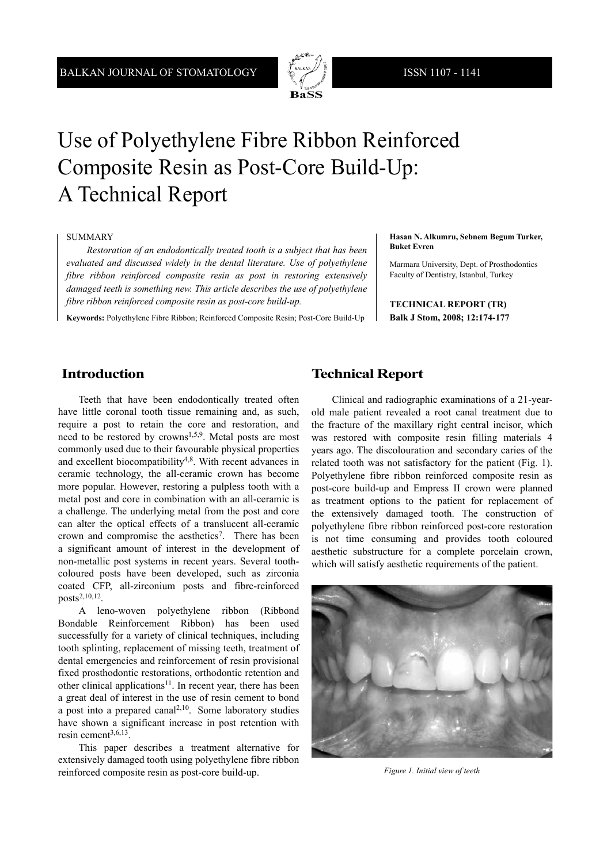

# Use of Polyethylene Fibre Ribbon Reinforced Composite Resin as Post-Core Build-Up: A Technical Report

#### SUMMARY

*Restoration of an endodontically treated tooth is a subject that has been evaluated and discussed widely in the dental literature. Use of polyethylene fibre ribbon reinforced composite resin as post in restoring extensively damaged teeth is something new. This article describes the use of polyethylene fibre ribbon reinforced composite resin as post-core build-up.*

**Keywords:** Polyethylene Fibre Ribbon; Reinforced Composite Resin; Post-Core Build-Up

**Hasan N. Alkumru, Sebnem Begum Turker, Buket Evren**

Marmara University, Dept. of Prosthodontics Faculty of Dentistry, Istanbul, Turkey

**TECHNICAL REPORT (TR) Balk J Stom, 2008; 12:174-177**

# **Introduction**

Teeth that have been endodontically treated often have little coronal tooth tissue remaining and, as such, require a post to retain the core and restoration, and need to be restored by crowns1,5,9. Metal posts are most commonly used due to their favourable physical properties and excellent biocompatibility4,8. With recent advances in ceramic technology, the all-ceramic crown has become more popular. However, restoring a pulpless tooth with a metal post and core in combination with an all-ceramic is a challenge. The underlying metal from the post and core can alter the optical effects of a translucent all-ceramic crown and compromise the aesthetics<sup>7</sup>. There has been a significant amount of interest in the development of non-metallic post systems in recent years. Several toothcoloured posts have been developed, such as zirconia coated CFP, all-zirconium posts and fibre-reinforced posts2,10,12.

A leno-woven polyethylene ribbon (Ribbond Bondable Reinforcement Ribbon) has been used successfully for a variety of clinical techniques, including tooth splinting, replacement of missing teeth, treatment of dental emergencies and reinforcement of resin provisional fixed prosthodontic restorations, orthodontic retention and other clinical applications<sup>11</sup>. In recent year, there has been a great deal of interest in the use of resin cement to bond a post into a prepared canal<sup>2,10</sup>. Some laboratory studies have shown a significant increase in post retention with resin cement $3,6,13$ .

This paper describes a treatment alternative for extensively damaged tooth using polyethylene fibre ribbon reinforced composite resin as post-core build-up.

## **Technical Report**

Clinical and radiographic examinations of a 21-yearold male patient revealed a root canal treatment due to the fracture of the maxillary right central incisor, which was restored with composite resin filling materials 4 years ago. The discolouration and secondary caries of the related tooth was not satisfactory for the patient (Fig. 1). Polyethylene fibre ribbon reinforced composite resin as post-core build-up and Empress II crown were planned as treatment options to the patient for replacement of the extensively damaged tooth. The construction of polyethylene fibre ribbon reinforced post-core restoration is not time consuming and provides tooth coloured aesthetic substructure for a complete porcelain crown, which will satisfy aesthetic requirements of the patient.



*Figure 1. Initial view of teeth*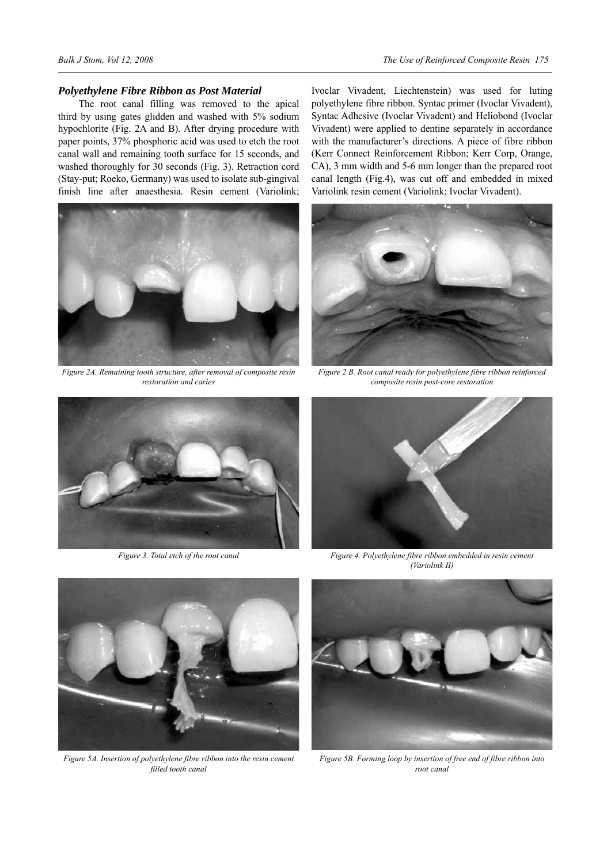### *Polyethylene Fibre Ribbon as Post Material*

The root canal filling was removed to the apical third by using gates glidden and washed with 5% sodium hypochlorite (Fig. 2A and B). After drying procedure with paper points, 37% phosphoric acid was used to etch the root canal wall and remaining tooth surface for 15 seconds, and washed thoroughly for 30 seconds (Fig. 3). Retraction cord (Stay-put; Roeko, Germany) was used to isolate sub-gingival finish line after anaesthesia. Resin cement (Variolink;



*Figure 2A. Remaining tooth structure, after removal of composite resin restoration and caries*

Ivoclar Vivadent, Liechtenstein) was used for luting polyethylene fibre ribbon. Syntac primer (Ivoclar Vivadent), Syntac Adhesive (Ivoclar Vivadent) and Heliobond (Ivoclar Vivadent) were applied to dentine separately in accordance with the manufacturer's directions. A piece of fibre ribbon (Kerr Connect Reinforcement Ribbon; Kerr Corp, Orange, CA), 3 mm width and 5-6 mm longer than the prepared root canal length (Fig.4), was cut off and embedded in mixed Variolink resin cement (Variolink; Ivoclar Vivadent).



*Figure 2 B. Root canal ready for polyethylene fibre ribbon reinforced composite resin post-core restoration*



*Figure 3. Total etch of the root canal*



*Figure 4. Polyethylene fibre ribbon embedded in resin cement (Variolink II)*



*Figure 5A. Insertion of polyethylene fibre ribbon into the resin cement filled tooth canal*



*Figure 5B. Forming loop by insertion of free end of fibre ribbon into root canal*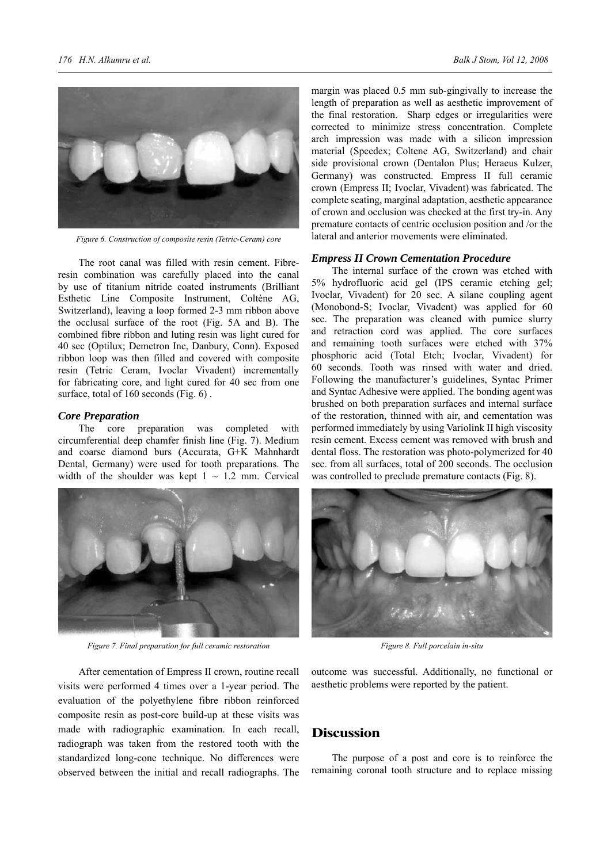

*Figure 6. Construction of composite resin (Tetric-Ceram) core*

The root canal was filled with resin cement. Fibreresin combination was carefully placed into the canal by use of titanium nitride coated instruments (Brilliant Esthetic Line Composite Instrument, Coltène AG, Switzerland), leaving a loop formed 2-3 mm ribbon above the occlusal surface of the root (Fig. 5A and B). The combined fibre ribbon and luting resin was light cured for 40 sec (Optilux; Demetron Inc, Danbury, Conn). Exposed ribbon loop was then filled and covered with composite resin (Tetric Ceram, Ivoclar Vivadent) incrementally for fabricating core, and light cured for 40 sec from one surface, total of 160 seconds (Fig. 6).

#### *Core Preparation*

The core preparation was completed with circumferential deep chamfer finish line (Fig. 7). Medium and coarse diamond burs (Accurata, G+K Mahnhardt Dental, Germany) were used for tooth preparations. The width of the shoulder was kept  $1 \sim 1.2$  mm. Cervical



*Figure 7. Final preparation for full ceramic restoration Figure 8. Full porcelain in-situ*

After cementation of Empress II crown, routine recall visits were performed 4 times over a 1-year period. The evaluation of the polyethylene fibre ribbon reinforced composite resin as post-core build-up at these visits was made with radiographic examination. In each recall, radiograph was taken from the restored tooth with the standardized long-cone technique. No differences were observed between the initial and recall radiographs. The margin was placed 0.5 mm sub-gingivally to increase the length of preparation as well as aesthetic improvement of the final restoration. Sharp edges or irregularities were corrected to minimize stress concentration. Complete arch impression was made with a silicon impression material (Speedex; Coltene AG, Switzerland) and chair side provisional crown (Dentalon Plus; Heraeus Kulzer, Germany) was constructed. Empress II full ceramic crown (Empress II; Ivoclar, Vivadent) was fabricated. The complete seating, marginal adaptation, aesthetic appearance of crown and occlusion was checked at the first try-in. Any premature contacts of centric occlusion position and /or the lateral and anterior movements were eliminated.

#### *Empress II Crown Cementation Procedure*

The internal surface of the crown was etched with 5% hydrofluoric acid gel (IPS ceramic etching gel; Ivoclar, Vivadent) for 20 sec. A silane coupling agent (Monobond-S; Ivoclar, Vivadent) was applied for 60 sec. The preparation was cleaned with pumice slurry and retraction cord was applied. The core surfaces and remaining tooth surfaces were etched with 37% phosphoric acid (Total Etch; Ivoclar, Vivadent) for 60 seconds. Tooth was rinsed with water and dried. Following the manufacturer's guidelines, Syntac Primer and Syntac Adhesive were applied. The bonding agent was brushed on both preparation surfaces and internal surface of the restoration, thinned with air, and cementation was performed immediately by using Variolink II high viscosity resin cement. Excess cement was removed with brush and dental floss. The restoration was photo-polymerized for 40 sec. from all surfaces, total of 200 seconds. The occlusion was controlled to preclude premature contacts (Fig. 8).



outcome was successful. Additionally, no functional or aesthetic problems were reported by the patient.

## **Discussion**

The purpose of a post and core is to reinforce the remaining coronal tooth structure and to replace missing